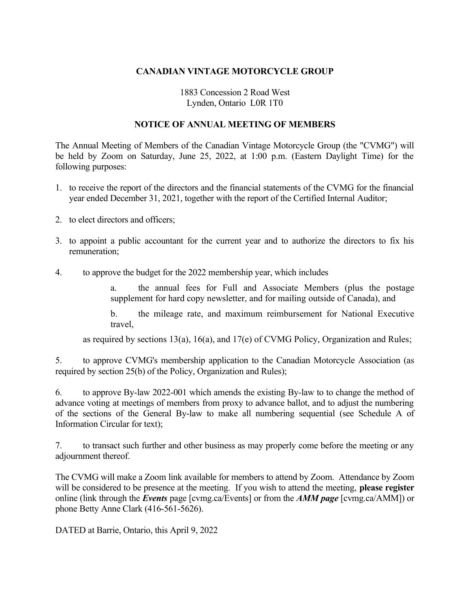# **CANADIAN VINTAGE MOTORCYCLE GROUP**

# 1883 Concession 2 Road West Lynden, Ontario L0R 1T0

## **NOTICE OF ANNUAL MEETING OF MEMBERS**

The Annual Meeting of Members of the Canadian Vintage Motorcycle Group (the "CVMG") will be held by Zoom on Saturday, June 25, 2022, at 1:00 p.m. (Eastern Daylight Time) for the following purposes:

- 1. to receive the report of the directors and the financial statements of the CVMG for the financial year ended December 31, 2021, together with the report of the Certified Internal Auditor;
- 2. to elect directors and officers;
- 3. to appoint a public accountant for the current year and to authorize the directors to fix his remuneration;
- 4. to approve the budget for the 2022 membership year, which includes

the annual fees for Full and Associate Members (plus the postage supplement for hard copy newsletter, and for mailing outside of Canada), and

b. the mileage rate, and maximum reimbursement for National Executive travel,

as required by sections 13(a), 16(a), and 17(e) of CVMG Policy, Organization and Rules;

5. to approve CVMG's membership application to the Canadian Motorcycle Association (as required by section 25(b) of the Policy, Organization and Rules);

6. to approve By-law 2022-001 which amends the existing By-law to to change the method of advance voting at meetings of members from proxy to advance ballot, and to adjust the numbering of the sections of the General By-law to make all numbering sequential (see Schedule A of Information Circular for text);

7. to transact such further and other business as may properly come before the meeting or any adjournment thereof.

The CVMG will make a Zoom link available for members to attend by Zoom. Attendance by Zoom will be considered to be presence at the meeting. If you wish to attend the meeting, **please register** online (link through the *Events* page [cvmg.ca/Events] or from the *AMM page* [cvmg.ca/AMM]) or phone Betty Anne Clark (416-561-5626).

DATED at Barrie, Ontario, this April 9, 2022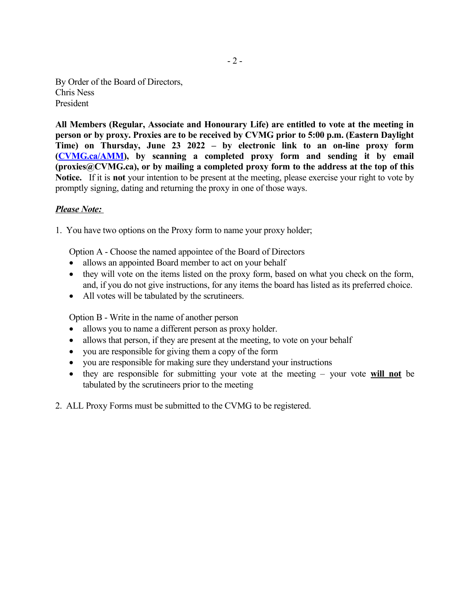By Order of the Board of Directors, Chris Ness President

**All Members (Regular, Associate and Honourary Life) are entitled to vote at the meeting in person or by proxy. Proxies are to be received by CVMG prior to 5:00 p.m. (Eastern Daylight Time) on Thursday, June 23 2022 – by electronic link to an on-line proxy form [\(CVMG.ca/AMM](http://CVMG.ca/AMM)), by scanning a completed proxy form and sending it by email (proxies@CVMG.ca), or by mailing a completed proxy form to the address at the top of this Notice.** If it is **not** your intention to be present at the meeting, please exercise your right to vote by promptly signing, dating and returning the proxy in one of those ways.

# *Please Note:*

1. You have two options on the Proxy form to name your proxy holder;

Option A - Choose the named appointee of the Board of Directors

- allows an appointed Board member to act on your behalf
- they will vote on the items listed on the proxy form, based on what you check on the form, and, if you do not give instructions, for any items the board has listed as its preferred choice.
- All votes will be tabulated by the scrutineers.

Option B - Write in the name of another person

- allows you to name a different person as proxy holder.
- allows that person, if they are present at the meeting, to vote on your behalf
- you are responsible for giving them a copy of the form
- you are responsible for making sure they understand your instructions
- they are responsible for submitting your vote at the meeting your vote **will not** be tabulated by the scrutineers prior to the meeting
- 2. ALL Proxy Forms must be submitted to the CVMG to be registered.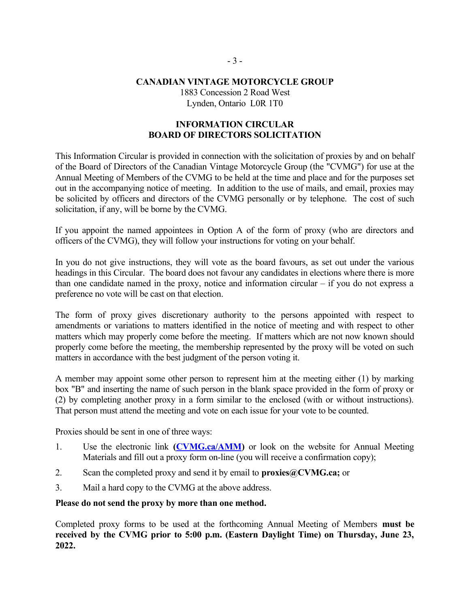# **CANADIAN VINTAGE MOTORCYCLE GROUP** 1883 Concession 2 Road West Lynden, Ontario L0R 1T0

# **INFORMATION CIRCULAR BOARD OF DIRECTORS SOLICITATION**

This Information Circular is provided in connection with the solicitation of proxies by and on behalf of the Board of Directors of the Canadian Vintage Motorcycle Group (the "CVMG") for use at the Annual Meeting of Members of the CVMG to be held at the time and place and for the purposes set out in the accompanying notice of meeting. In addition to the use of mails, and email, proxies may be solicited by officers and directors of the CVMG personally or by telephone. The cost of such solicitation, if any, will be borne by the CVMG.

If you appoint the named appointees in Option A of the form of proxy (who are directors and officers of the CVMG), they will follow your instructions for voting on your behalf.

In you do not give instructions, they will vote as the board favours, as set out under the various headings in this Circular. The board does not favour any candidates in elections where there is more than one candidate named in the proxy, notice and information circular – if you do not express a preference no vote will be cast on that election.

The form of proxy gives discretionary authority to the persons appointed with respect to amendments or variations to matters identified in the notice of meeting and with respect to other matters which may properly come before the meeting. If matters which are not now known should properly come before the meeting, the membership represented by the proxy will be voted on such matters in accordance with the best judgment of the person voting it.

A member may appoint some other person to represent him at the meeting either (1) by marking box "B" and inserting the name of such person in the blank space provided in the form of proxy or (2) by completing another proxy in a form similar to the enclosed (with or without instructions). That person must attend the meeting and vote on each issue for your vote to be counted.

Proxies should be sent in one of three ways:

- 1. Use the electronic link **[\(CVMG.ca/AMM\)](http://CVMG.ca/AMM)** or look on the website for Annual Meeting Materials and fill out a proxy form on-line (you will receive a confirmation copy);
- 2. Scan the completed proxy and send it by email to **proxies@CVMG.ca;** or
- 3. Mail a hard copy to the CVMG at the above address.

**Please do not send the proxy by more than one method.**

Completed proxy forms to be used at the forthcoming Annual Meeting of Members **must be received by the CVMG prior to 5:00 p.m. (Eastern Daylight Time) on Thursday, June 23, 2022.**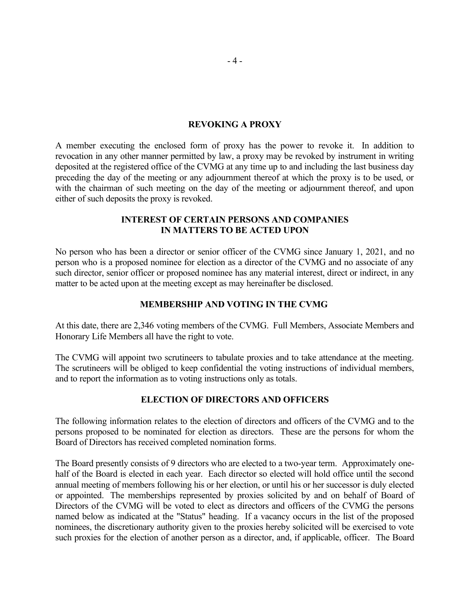### **REVOKING A PROXY**

A member executing the enclosed form of proxy has the power to revoke it. In addition to revocation in any other manner permitted by law, a proxy may be revoked by instrument in writing deposited at the registered office of the CVMG at any time up to and including the last business day preceding the day of the meeting or any adjournment thereof at which the proxy is to be used, or with the chairman of such meeting on the day of the meeting or adjournment thereof, and upon either of such deposits the proxy is revoked.

### **INTEREST OF CERTAIN PERSONS AND COMPANIES IN MATTERS TO BE ACTED UPON**

No person who has been a director or senior officer of the CVMG since January 1, 2021, and no person who is a proposed nominee for election as a director of the CVMG and no associate of any such director, senior officer or proposed nominee has any material interest, direct or indirect, in any matter to be acted upon at the meeting except as may hereinafter be disclosed.

### **MEMBERSHIP AND VOTING IN THE CVMG**

At this date, there are 2,346 voting members of the CVMG. Full Members, Associate Members and Honorary Life Members all have the right to vote.

The CVMG will appoint two scrutineers to tabulate proxies and to take attendance at the meeting. The scrutineers will be obliged to keep confidential the voting instructions of individual members, and to report the information as to voting instructions only as totals.

## **ELECTION OF DIRECTORS AND OFFICERS**

The following information relates to the election of directors and officers of the CVMG and to the persons proposed to be nominated for election as directors. These are the persons for whom the Board of Directors has received completed nomination forms.

The Board presently consists of 9 directors who are elected to a two-year term. Approximately onehalf of the Board is elected in each year. Each director so elected will hold office until the second annual meeting of members following his or her election, or until his or her successor is duly elected or appointed. The memberships represented by proxies solicited by and on behalf of Board of Directors of the CVMG will be voted to elect as directors and officers of the CVMG the persons named below as indicated at the "Status" heading. If a vacancy occurs in the list of the proposed nominees, the discretionary authority given to the proxies hereby solicited will be exercised to vote such proxies for the election of another person as a director, and, if applicable, officer. The Board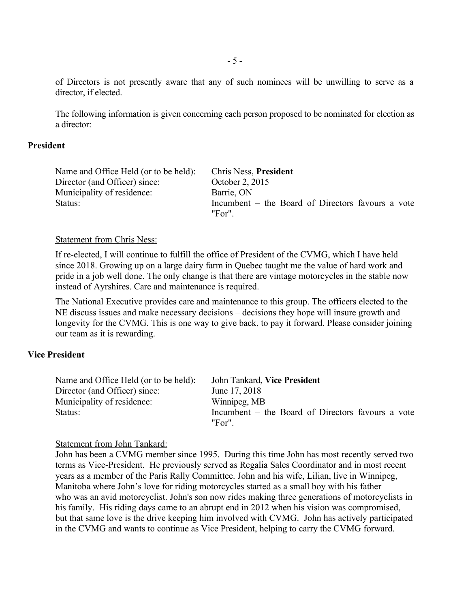of Directors is not presently aware that any of such nominees will be unwilling to serve as a director, if elected.

The following information is given concerning each person proposed to be nominated for election as a director:

## **President**

| Name and Office Held (or to be held): | <b>Chris Ness, President</b>                               |
|---------------------------------------|------------------------------------------------------------|
| Director (and Officer) since:         | October 2, 2015                                            |
| Municipality of residence:            | Barrie, ON                                                 |
| Status:                               | Incumbent – the Board of Directors favours a vote<br>"For" |

#### Statement from Chris Ness:

If re-elected, I will continue to fulfill the office of President of the CVMG, which I have held since 2018. Growing up on a large dairy farm in Quebec taught me the value of hard work and pride in a job well done. The only change is that there are vintage motorcycles in the stable now instead of Ayrshires. Care and maintenance is required.

The National Executive provides care and maintenance to this group. The officers elected to the NE discuss issues and make necessary decisions – decisions they hope will insure growth and longevity for the CVMG. This is one way to give back, to pay it forward. Please consider joining our team as it is rewarding.

## **Vice President**

| Name and Office Held (or to be held): | John Tankard, Vice President                      |
|---------------------------------------|---------------------------------------------------|
| Director (and Officer) since:         | June 17, 2018                                     |
| Municipality of residence:            | Winnipeg, MB                                      |
| Status:                               | Incumbent – the Board of Directors favours a vote |
|                                       | "For"                                             |

#### Statement from John Tankard:

John has been a CVMG member since 1995. During this time John has most recently served two terms as Vice-President. He previously served as Regalia Sales Coordinator and in most recent years as a member of the Paris Rally Committee. John and his wife, Lilian, live in Winnipeg, Manitoba where John's love for riding motorcycles started as a small boy with his father who was an avid motorcyclist. John's son now rides making three generations of motorcyclists in his family. His riding days came to an abrupt end in 2012 when his vision was compromised, but that same love is the drive keeping him involved with CVMG. John has actively participated in the CVMG and wants to continue as Vice President, helping to carry the CVMG forward.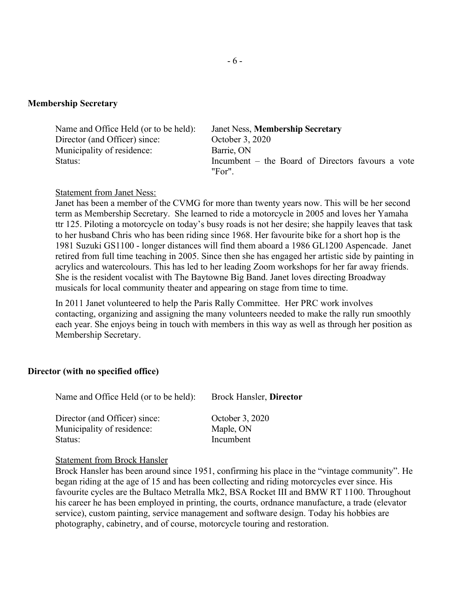### **Membership Secretary**

| Name and Office Held (or to be held): | <b>Janet Ness, Membership Secretary</b>           |
|---------------------------------------|---------------------------------------------------|
| Director (and Officer) since:         | October 3, 2020                                   |
| Municipality of residence:            | Barrie, ON                                        |
| Status:                               | Incumbent – the Board of Directors favours a vote |
|                                       | "For"                                             |

#### Statement from Janet Ness:

Janet has been a member of the CVMG for more than twenty years now. This will be her second term as Membership Secretary. She learned to ride a motorcycle in 2005 and loves her Yamaha ttr 125. Piloting a motorcycle on today's busy roads is not her desire; she happily leaves that task to her husband Chris who has been riding since 1968. Her favourite bike for a short hop is the 1981 Suzuki GS1100 - longer distances will find them aboard a 1986 GL1200 Aspencade. Janet retired from full time teaching in 2005. Since then she has engaged her artistic side by painting in acrylics and watercolours. This has led to her leading Zoom workshops for her far away friends. She is the resident vocalist with The Baytowne Big Band. Janet loves directing Broadway musicals for local community theater and appearing on stage from time to time.

In 2011 Janet volunteered to help the Paris Rally Committee. Her PRC work involves contacting, organizing and assigning the many volunteers needed to make the rally run smoothly each year. She enjoys being in touch with members in this way as well as through her position as Membership Secretary.

### **Director (with no specified office)**

| Name and Office Held (or to be held):                                  | <b>Brock Hansler, Director</b>            |
|------------------------------------------------------------------------|-------------------------------------------|
| Director (and Officer) since:<br>Municipality of residence:<br>Status: | October 3, 2020<br>Maple, ON<br>Incumbent |
|                                                                        |                                           |

### Statement from Brock Hansler

Brock Hansler has been around since 1951, confirming his place in the "vintage community". He began riding at the age of 15 and has been collecting and riding motorcycles ever since. His favourite cycles are the Bultaco Metralla Mk2, BSA Rocket III and BMW RT 1100. Throughout his career he has been employed in printing, the courts, ordnance manufacture, a trade (elevator service), custom painting, service management and software design. Today his hobbies are photography, cabinetry, and of course, motorcycle touring and restoration.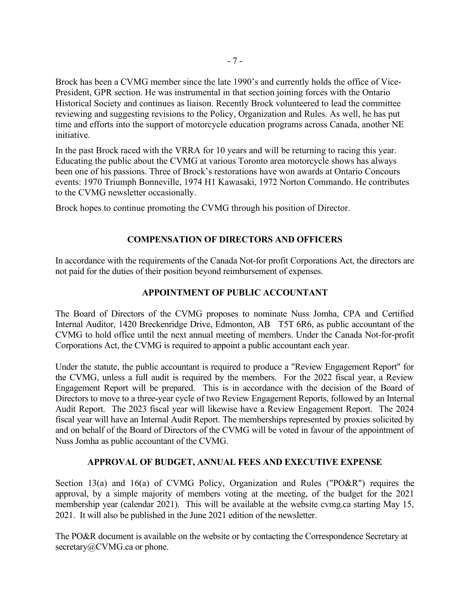Brock has been a CVMG member since the late 1990's and currently holds the office of Vice-President, GPR section. He was instrumental in that section joining forces with the Ontario Historical Society and continues as liaison. Recently Brock volunteered to lead the committee reviewing and suggesting revisions to the Policy, Organization and Rules. As well, he has put time and efforts into the support of motorcycle education programs across Canada, another NE initiative.

In the past Brock raced with the VRRA for 10 years and will be returning to racing this year. Educating the public about the CVMG at various Toronto area motorcycle shows has always been one of his passions. Three of Brock's restorations have won awards at Ontario Concours events: 1970 Triumph Bonneville, 1974 H1 Kawasaki, 1972 Norton Commando. He contributes to the CVMG newsletter occasionally.

Brock hopes to continue promoting the CVMG through his position of Director.

## **COMPENSATION OF DIRECTORS AND OFFICERS**

In accordance with the requirements of the Canada Not-for profit Corporations Act, the directors are not paid for the duties of their position beyond reimbursement of expenses.

## **APPOINTMENT OF PUBLIC ACCOUNTANT**

The Board of Directors of the CVMG proposes to nominate Nuss Jomha, CPA and Certified Internal Auditor, 1420 Breckenridge Drive, Edmonton, AB T5T 6R6, as public accountant of the CVMG to hold office until the next annual meeting of members. Under the Canada Not-for-profit Corporations Act, the CVMG is required to appoint a public accountant each year.

Under the statute, the public accountant is required to produce a "Review Engagement Report" for the CVMG, unless a full audit is required by the members. For the 2022 fiscal year, a Review Engagement Report will be prepared. This is in accordance with the decision of the Board of Directors to move to a three-year cycle of two Review Engagement Reports, followed by an Internal Audit Report. The 2023 fiscal year will likewise have a Review Engagement Report. The 2024 fiscal year will have an Internal Audit Report. The memberships represented by proxies solicited by and on behalf of the Board of Directors of the CVMG will be voted in favour of the appointment of Nuss Jomha as public accountant of the CVMG.

## **APPROVAL OF BUDGET, ANNUAL FEES AND EXECUTIVE EXPENSE**

Section 13(a) and 16(a) of CVMG Policy, Organization and Rules ("PO&R") requires the approval, by a simple majority of members voting at the meeting, of the budget for the 2021 membership year (calendar 2021). This will be available at the website cvmg.ca starting May 15, 2021. It will also be published in the June 2021 edition of the newsletter.

The PO&R document is available on the website or by contacting the Correspondence Secretary at secretary@CVMG.ca or phone.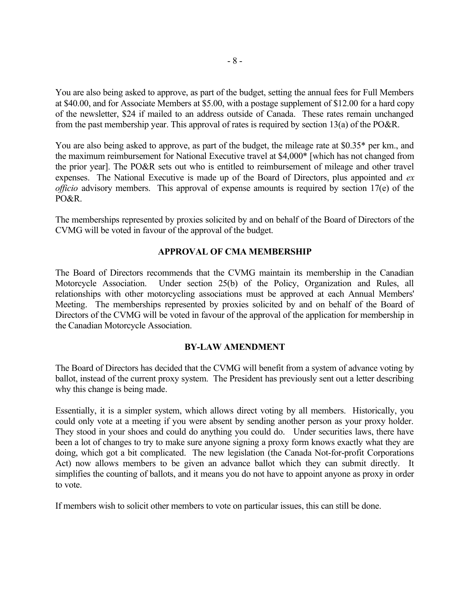You are also being asked to approve, as part of the budget, setting the annual fees for Full Members at \$40.00, and for Associate Members at \$5.00, with a postage supplement of \$12.00 for a hard copy of the newsletter, \$24 if mailed to an address outside of Canada. These rates remain unchanged from the past membership year. This approval of rates is required by section 13(a) of the PO&R.

You are also being asked to approve, as part of the budget, the mileage rate at \$0.35\* per km., and the maximum reimbursement for National Executive travel at \$4,000\* [which has not changed from the prior year]. The PO&R sets out who is entitled to reimbursement of mileage and other travel expenses. The National Executive is made up of the Board of Directors, plus appointed and *ex officio* advisory members. This approval of expense amounts is required by section 17(e) of the PO&R.

The memberships represented by proxies solicited by and on behalf of the Board of Directors of the CVMG will be voted in favour of the approval of the budget.

### **APPROVAL OF CMA MEMBERSHIP**

The Board of Directors recommends that the CVMG maintain its membership in the Canadian Motorcycle Association. Under section 25(b) of the Policy, Organization and Rules, all relationships with other motorcycling associations must be approved at each Annual Members' Meeting. The memberships represented by proxies solicited by and on behalf of the Board of Directors of the CVMG will be voted in favour of the approval of the application for membership in the Canadian Motorcycle Association.

### **BY-LAW AMENDMENT**

The Board of Directors has decided that the CVMG will benefit from a system of advance voting by ballot, instead of the current proxy system. The President has previously sent out a letter describing why this change is being made.

Essentially, it is a simpler system, which allows direct voting by all members. Historically, you could only vote at a meeting if you were absent by sending another person as your proxy holder. They stood in your shoes and could do anything you could do. Under securities laws, there have been a lot of changes to try to make sure anyone signing a proxy form knows exactly what they are doing, which got a bit complicated. The new legislation (the Canada Not-for-profit Corporations Act) now allows members to be given an advance ballot which they can submit directly. It simplifies the counting of ballots, and it means you do not have to appoint anyone as proxy in order to vote.

If members wish to solicit other members to vote on particular issues, this can still be done.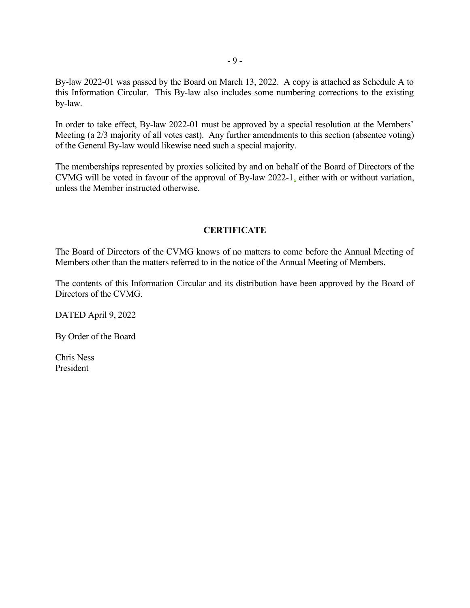By-law 2022-01 was passed by the Board on March 13, 2022. A copy is attached as Schedule A to this Information Circular. This By-law also includes some numbering corrections to the existing by-law.

In order to take effect, By-law 2022-01 must be approved by a special resolution at the Members' Meeting (a 2/3 majority of all votes cast). Any further amendments to this section (absentee voting) of the General By-law would likewise need such a special majority.

The memberships represented by proxies solicited by and on behalf of the Board of Directors of the CVMG will be voted in favour of the approval of By-law 2022-1, either with or without variation, unless the Member instructed otherwise.

# **CERTIFICATE**

The Board of Directors of the CVMG knows of no matters to come before the Annual Meeting of Members other than the matters referred to in the notice of the Annual Meeting of Members.

The contents of this Information Circular and its distribution have been approved by the Board of Directors of the CVMG.

DATED April 9, 2022

By Order of the Board

Chris Ness President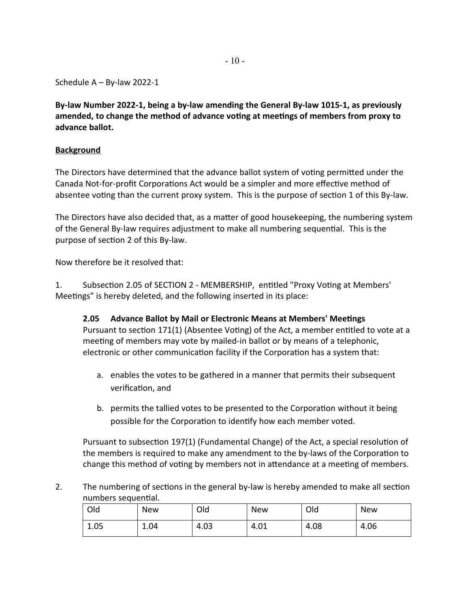Schedule A – By-law 2022-1

**By-law Number 2022-1, being a by-law amending the General By-law 1015-1, as previously amended, to change the method of advance voting at meetings of members from proxy to advance ballot.**

# **Background**

The Directors have determined that the advance ballot system of voting permitted under the Canada Not-for-profit Corporations Act would be a simpler and more effective method of absentee voting than the current proxy system. This is the purpose of section 1 of this By-law.

The Directors have also decided that, as a matter of good housekeeping, the numbering system of the General By-law requires adjustment to make all numbering sequential. This is the purpose of section 2 of this By-law.

Now therefore be it resolved that:

1. Subsection 2.05 of SECTION 2 - MEMBERSHIP, entitled "Proxy Voting at Members' Meetings" is hereby deleted, and the following inserted in its place:

**2.05 Advance Ballot by Mail or Electronic Means at Members' Meetings** Pursuant to section 171(1) (Absentee Voting) of the Act, a member entitled to vote at a meeting of members may vote by mailed-in ballot or by means of a telephonic, electronic or other communication facility if the Corporation has a system that:

- a. enables the votes to be gathered in a manner that permits their subsequent verification, and
- b. permits the tallied votes to be presented to the Corporation without it being possible for the Corporation to identify how each member voted.

Pursuant to subsection 197(1) (Fundamental Change) of the Act, a special resolution of the members is required to make any amendment to the by-laws of the Corporation to change this method of voting by members not in attendance at a meeting of members.

2. The numbering of sections in the general by-law is hereby amended to make all section numbers sequential.

| Old  | <b>New</b> | Old  | <b>New</b>        | Old  | <b>New</b> |
|------|------------|------|-------------------|------|------------|
| 1.05 | 1.04       | 4.03 | <b>01</b><br>4.UT | 4.08 | 4.06       |